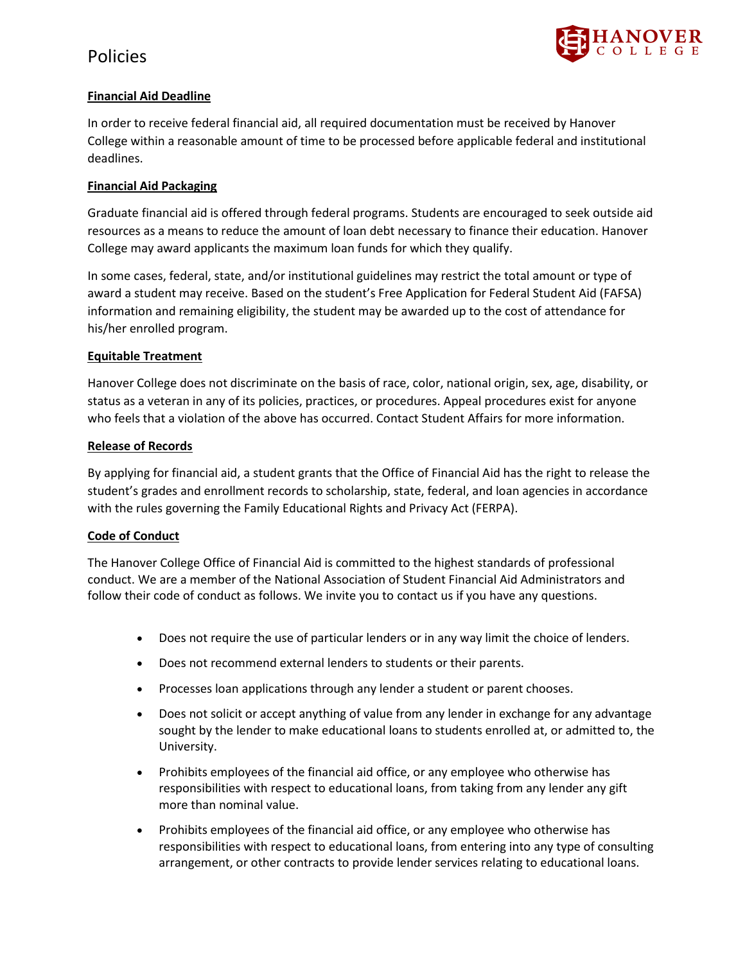

## **Financial Aid Deadline**

In order to receive federal financial aid, all required documentation must be received by Hanover College within a reasonable amount of time to be processed before applicable federal and institutional deadlines.

### **Financial Aid Packaging**

Graduate financial aid is offered through federal programs. Students are encouraged to seek outside aid resources as a means to reduce the amount of loan debt necessary to finance their education. Hanover College may award applicants the maximum loan funds for which they qualify.

In some cases, federal, state, and/or institutional guidelines may restrict the total amount or type of award a student may receive. Based on the student's Free Application for Federal Student Aid (FAFSA) information and remaining eligibility, the student may be awarded up to the cost of attendance for his/her enrolled program.

### **Equitable Treatment**

Hanover College does not discriminate on the basis of race, color, national origin, sex, age, disability, or status as a veteran in any of its policies, practices, or procedures. Appeal procedures exist for anyone who feels that a violation of the above has occurred. Contact Student Affairs for more information.

#### **Release of Records**

By applying for financial aid, a student grants that the Office of Financial Aid has the right to release the student's grades and enrollment records to scholarship, state, federal, and loan agencies in accordance with the rules governing the Family Educational Rights and Privacy Act (FERPA).

### **Code of Conduct**

The Hanover College Office of Financial Aid is committed to the highest standards of professional conduct. We are a member of the National Association of Student Financial Aid Administrators and follow their code of conduct as follows. We invite you to contact us if you have any questions.

- Does not require the use of particular lenders or in any way limit the choice of lenders.
- Does not recommend external lenders to students or their parents.
- Processes loan applications through any lender a student or parent chooses.
- Does not solicit or accept anything of value from any lender in exchange for any advantage sought by the lender to make educational loans to students enrolled at, or admitted to, the University.
- Prohibits employees of the financial aid office, or any employee who otherwise has responsibilities with respect to educational loans, from taking from any lender any gift more than nominal value.
- Prohibits employees of the financial aid office, or any employee who otherwise has responsibilities with respect to educational loans, from entering into any type of consulting arrangement, or other contracts to provide lender services relating to educational loans.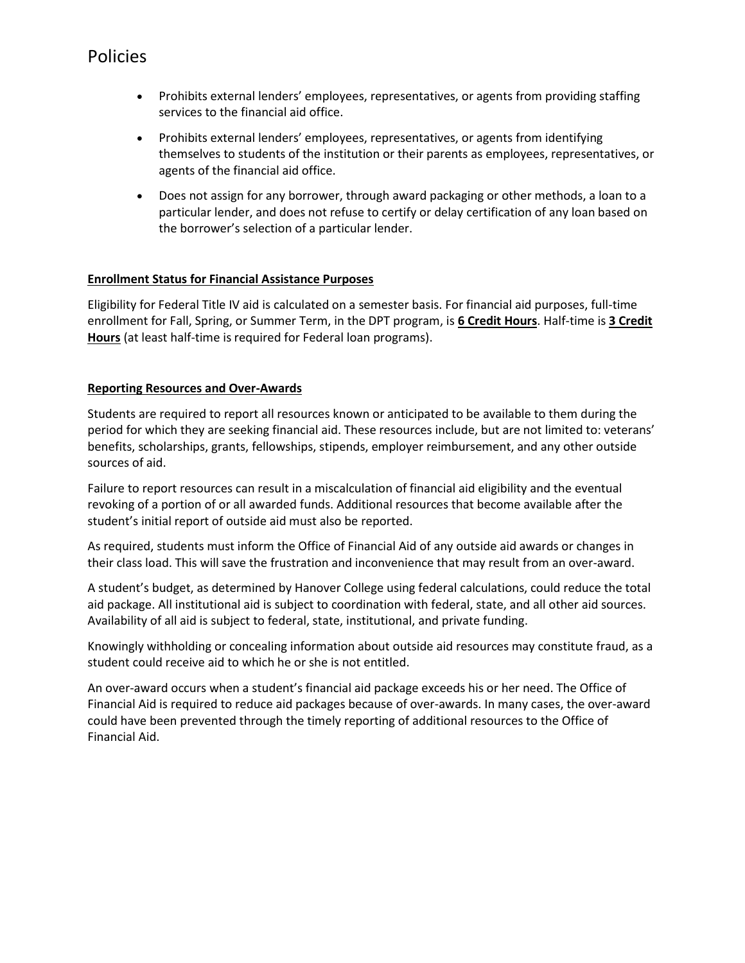- Prohibits external lenders' employees, representatives, or agents from providing staffing services to the financial aid office.
- Prohibits external lenders' employees, representatives, or agents from identifying themselves to students of the institution or their parents as employees, representatives, or agents of the financial aid office.
- Does not assign for any borrower, through award packaging or other methods, a loan to a particular lender, and does not refuse to certify or delay certification of any loan based on the borrower's selection of a particular lender.

## **Enrollment Status for Financial Assistance Purposes**

Eligibility for Federal Title IV aid is calculated on a semester basis. For financial aid purposes, full-time enrollment for Fall, Spring, or Summer Term, in the DPT program, is **6 Credit Hours**. Half-time is **3 Credit Hours** (at least half-time is required for Federal loan programs).

## **Reporting Resources and Over-Awards**

Students are required to report all resources known or anticipated to be available to them during the period for which they are seeking financial aid. These resources include, but are not limited to: veterans' benefits, scholarships, grants, fellowships, stipends, employer reimbursement, and any other outside sources of aid.

Failure to report resources can result in a miscalculation of financial aid eligibility and the eventual revoking of a portion of or all awarded funds. Additional resources that become available after the student's initial report of outside aid must also be reported.

As required, students must inform the Office of Financial Aid of any outside aid awards or changes in their class load. This will save the frustration and inconvenience that may result from an over-award.

A student's budget, as determined by Hanover College using federal calculations, could reduce the total aid package. All institutional aid is subject to coordination with federal, state, and all other aid sources. Availability of all aid is subject to federal, state, institutional, and private funding.

Knowingly withholding or concealing information about outside aid resources may constitute fraud, as a student could receive aid to which he or she is not entitled.

An over-award occurs when a student's financial aid package exceeds his or her need. The Office of Financial Aid is required to reduce aid packages because of over-awards. In many cases, the over-award could have been prevented through the timely reporting of additional resources to the Office of Financial Aid.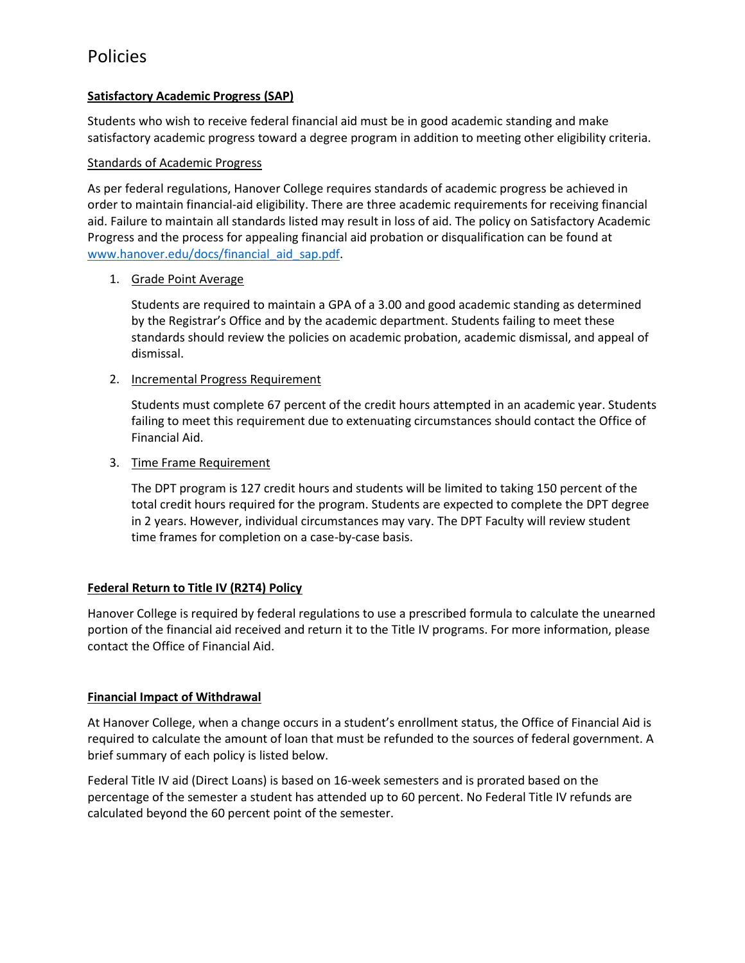## **Satisfactory Academic Progress (SAP)**

Students who wish to receive federal financial aid must be in good academic standing and make satisfactory academic progress toward a degree program in addition to meeting other eligibility criteria.

### Standards of Academic Progress

As per federal regulations, Hanover College requires standards of academic progress be achieved in order to maintain financial-aid eligibility. There are three academic requirements for receiving financial aid. Failure to maintain all standards listed may result in loss of aid. The policy on Satisfactory Academic Progress and the process for appealing financial aid probation or disqualification can be found at [www.hanover.edu/docs/financial\\_aid\\_sap.pdf.](http://www.hanover.edu/docs/financial_aid_sap.pdf)

## 1. Grade Point Average

Students are required to maintain a GPA of a 3.00 and good academic standing as determined by the Registrar's Office and by the academic department. Students failing to meet these standards should review the policies on academic probation, academic dismissal, and appeal of dismissal.

## 2. Incremental Progress Requirement

Students must complete 67 percent of the credit hours attempted in an academic year. Students failing to meet this requirement due to extenuating circumstances should contact the Office of Financial Aid.

### 3. Time Frame Requirement

The DPT program is 127 credit hours and students will be limited to taking 150 percent of the total credit hours required for the program. Students are expected to complete the DPT degree in 2 years. However, individual circumstances may vary. The DPT Faculty will review student time frames for completion on a case-by-case basis.

## **Federal Return to Title IV (R2T4) Policy**

Hanover College is required by federal regulations to use a prescribed formula to calculate the unearned portion of the financial aid received and return it to the Title IV programs. For more information, please contact the Office of Financial Aid.

### **Financial Impact of Withdrawal**

At Hanover College, when a change occurs in a student's enrollment status, the Office of Financial Aid is required to calculate the amount of loan that must be refunded to the sources of federal government. A brief summary of each policy is listed below.

Federal Title IV aid (Direct Loans) is based on 16-week semesters and is prorated based on the percentage of the semester a student has attended up to 60 percent. No Federal Title IV refunds are calculated beyond the 60 percent point of the semester.